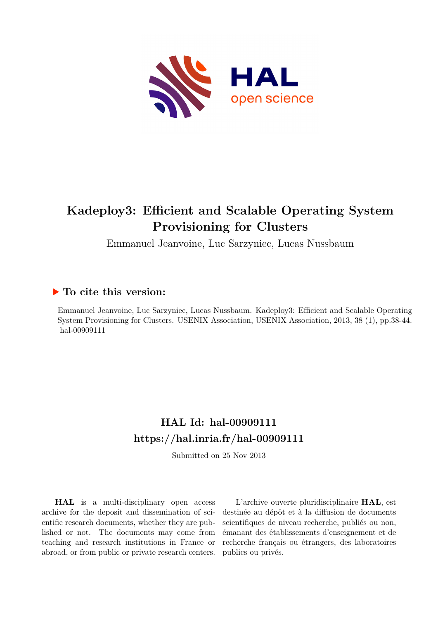

# **Kadeploy3: Efficient and Scalable Operating System Provisioning for Clusters**

Emmanuel Jeanvoine, Luc Sarzyniec, Lucas Nussbaum

# **To cite this version:**

Emmanuel Jeanvoine, Luc Sarzyniec, Lucas Nussbaum. Kadeploy3: Efficient and Scalable Operating System Provisioning for Clusters. USENIX Association, USENIX Association, 2013, 38 (1), pp.38-44. hal-00909111

# **HAL Id: hal-00909111 <https://hal.inria.fr/hal-00909111>**

Submitted on 25 Nov 2013

**HAL** is a multi-disciplinary open access archive for the deposit and dissemination of scientific research documents, whether they are published or not. The documents may come from teaching and research institutions in France or abroad, or from public or private research centers.

L'archive ouverte pluridisciplinaire **HAL**, est destinée au dépôt et à la diffusion de documents scientifiques de niveau recherche, publiés ou non, émanant des établissements d'enseignement et de recherche français ou étrangers, des laboratoires publics ou privés.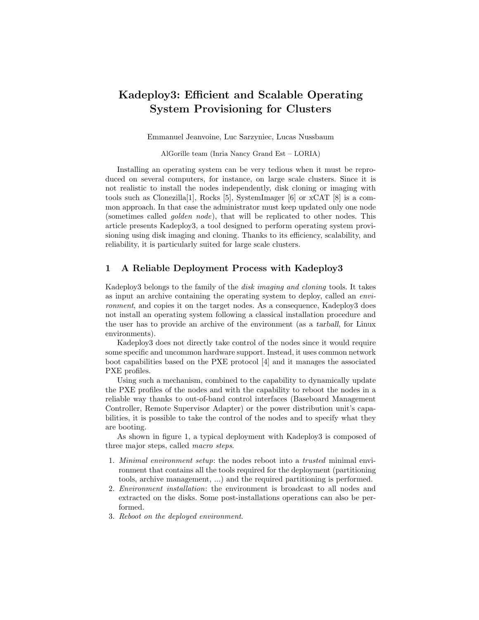# Kadeploy3: Efficient and Scalable Operating System Provisioning for Clusters

Emmanuel Jeanvoine, Luc Sarzyniec, Lucas Nussbaum

AlGorille team (Inria Nancy Grand Est – LORIA)

Installing an operating system can be very tedious when it must be reproduced on several computers, for instance, on large scale clusters. Since it is not realistic to install the nodes independently, disk cloning or imaging with tools such as Clonezilla[1], Rocks [5], SystemImager [6] or xCAT [8] is a common approach. In that case the administrator must keep updated only one node (sometimes called golden node), that will be replicated to other nodes. This article presents Kadeploy3, a tool designed to perform operating system provisioning using disk imaging and cloning. Thanks to its efficiency, scalability, and reliability, it is particularly suited for large scale clusters.

### 1 A Reliable Deployment Process with Kadeploy3

Kadeploy3 belongs to the family of the disk imaging and cloning tools. It takes as input an archive containing the operating system to deploy, called an environment, and copies it on the target nodes. As a consequence, Kadeploy3 does not install an operating system following a classical installation procedure and the user has to provide an archive of the environment (as a tarball, for Linux environments).

Kadeploy3 does not directly take control of the nodes since it would require some specific and uncommon hardware support. Instead, it uses common network boot capabilities based on the PXE protocol [4] and it manages the associated PXE profiles.

Using such a mechanism, combined to the capability to dynamically update the PXE profiles of the nodes and with the capability to reboot the nodes in a reliable way thanks to out-of-band control interfaces (Baseboard Management Controller, Remote Supervisor Adapter) or the power distribution unit's capabilities, it is possible to take the control of the nodes and to specify what they are booting.

As shown in figure 1, a typical deployment with Kadeploy3 is composed of three major steps, called macro steps.

- 1. Minimal environment setup: the nodes reboot into a trusted minimal environment that contains all the tools required for the deployment (partitioning tools, archive management, ...) and the required partitioning is performed.
- 2. Environment installation: the environment is broadcast to all nodes and extracted on the disks. Some post-installations operations can also be performed.
- 3. Reboot on the deployed environment.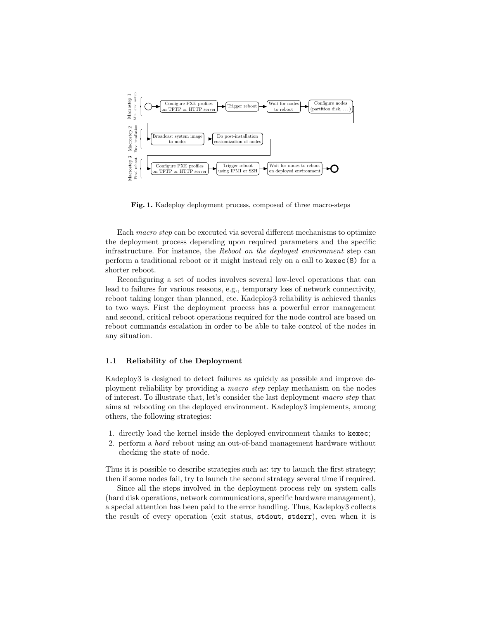

Fig. 1. Kadeploy deployment process, composed of three macro-steps

Each macro step can be executed via several different mechanisms to optimize the deployment process depending upon required parameters and the specific infrastructure. For instance, the Reboot on the deployed environment step can perform a traditional reboot or it might instead rely on a call to kexec(8) for a shorter reboot.

Reconfiguring a set of nodes involves several low-level operations that can lead to failures for various reasons, e.g., temporary loss of network connectivity, reboot taking longer than planned, etc. Kadeploy3 reliability is achieved thanks to two ways. First the deployment process has a powerful error management and second, critical reboot operations required for the node control are based on reboot commands escalation in order to be able to take control of the nodes in any situation.

#### 1.1 Reliability of the Deployment

Kadeploy3 is designed to detect failures as quickly as possible and improve deployment reliability by providing a macro step replay mechanism on the nodes of interest. To illustrate that, let's consider the last deployment macro step that aims at rebooting on the deployed environment. Kadeploy3 implements, among others, the following strategies:

- 1. directly load the kernel inside the deployed environment thanks to kexec;
- 2. perform a hard reboot using an out-of-band management hardware without checking the state of node.

Thus it is possible to describe strategies such as: try to launch the first strategy; then if some nodes fail, try to launch the second strategy several time if required.

Since all the steps involved in the deployment process rely on system calls (hard disk operations, network communications, specific hardware management), a special attention has been paid to the error handling. Thus, Kadeploy3 collects the result of every operation (exit status, stdout, stderr), even when it is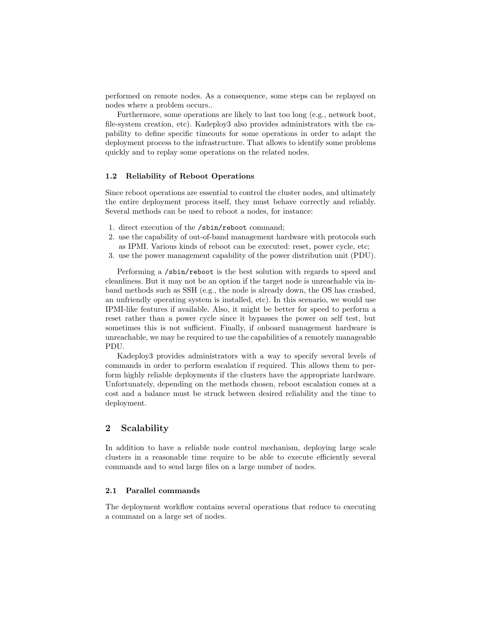performed on remote nodes. As a consequence, some steps can be replayed on nodes where a problem occurs..

Furthermore, some operations are likely to last too long (e.g., network boot, file-system creation, etc). Kadeploy3 also provides administrators with the capability to define specific timeouts for some operations in order to adapt the deployment process to the infrastructure. That allows to identify some problems quickly and to replay some operations on the related nodes.

#### 1.2 Reliability of Reboot Operations

Since reboot operations are essential to control the cluster nodes, and ultimately the entire deployment process itself, they must behave correctly and reliably. Several methods can be used to reboot a nodes, for instance:

- 1. direct execution of the /sbin/reboot command;
- 2. use the capability of out-of-band management hardware with protocols such as IPMI. Various kinds of reboot can be executed: reset, power cycle, etc;
- 3. use the power management capability of the power distribution unit (PDU).

Performing a /sbin/reboot is the best solution with regards to speed and cleanliness. But it may not be an option if the target node is unreachable via inband methods such as SSH (e.g., the node is already down, the OS has crashed, an unfriendly operating system is installed, etc). In this scenario, we would use IPMI-like features if available. Also, it might be better for speed to perform a reset rather than a power cycle since it bypasses the power on self test, but sometimes this is not sufficient. Finally, if onboard management hardware is unreachable, we may be required to use the capabilities of a remotely manageable PDU.

Kadeploy3 provides administrators with a way to specify several levels of commands in order to perform escalation if required. This allows them to perform highly reliable deployments if the clusters have the appropriate hardware. Unfortunately, depending on the methods chosen, reboot escalation comes at a cost and a balance must be struck between desired reliability and the time to deployment.

# 2 Scalability

In addition to have a reliable node control mechanism, deploying large scale clusters in a reasonable time require to be able to execute efficiently several commands and to send large files on a large number of nodes.

#### 2.1 Parallel commands

The deployment workflow contains several operations that reduce to executing a command on a large set of nodes.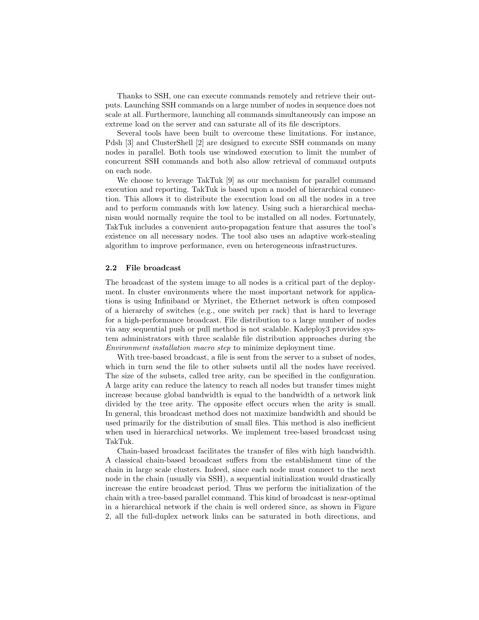Thanks to SSH, one can execute commands remotely and retrieve their outputs. Launching SSH commands on a large number of nodes in sequence does not scale at all. Furthermore, launching all commands simultaneously can impose an extreme load on the server and can saturate all of its file descriptors.

Several tools have been built to overcome these limitations. For instance, Pdsh [3] and ClusterShell [2] are designed to execute SSH commands on many nodes in parallel. Both tools use windowed execution to limit the number of concurrent SSH commands and both also allow retrieval of command outputs on each node.

We choose to leverage TakTuk [9] as our mechanism for parallel command execution and reporting. TakTuk is based upon a model of hierarchical connection. This allows it to distribute the execution load on all the nodes in a tree and to perform commands with low latency. Using such a hierarchical mechanism would normally require the tool to be installed on all nodes. Fortunately, TakTuk includes a convenient auto-propagation feature that assures the tool's existence on all necessary nodes. The tool also uses an adaptive work-stealing algorithm to improve performance, even on heterogeneous infrastructures.

#### 2.2 File broadcast

The broadcast of the system image to all nodes is a critical part of the deployment. In cluster environments where the most important network for applications is using Infiniband or Myrinet, the Ethernet network is often composed of a hierarchy of switches (e.g., one switch per rack) that is hard to leverage for a high-performance broadcast. File distribution to a large number of nodes via any sequential push or pull method is not scalable. Kadeploy3 provides system administrators with three scalable file distribution approaches during the Environment installation macro step to minimize deployment time.

With tree-based broadcast, a file is sent from the server to a subset of nodes, which in turn send the file to other subsets until all the nodes have received. The size of the subsets, called tree arity, can be specified in the configuration. A large arity can reduce the latency to reach all nodes but transfer times might increase because global bandwidth is equal to the bandwidth of a network link divided by the tree arity. The opposite effect occurs when the arity is small. In general, this broadcast method does not maximize bandwidth and should be used primarily for the distribution of small files. This method is also inefficient when used in hierarchical networks. We implement tree-based broadcast using TakTuk.

Chain-based broadcast facilitates the transfer of files with high bandwidth. A classical chain-based broadcast suffers from the establishment time of the chain in large scale clusters. Indeed, since each node must connect to the next node in the chain (usually via SSH), a sequential initialization would drastically increase the entire broadcast period. Thus we perform the initialization of the chain with a tree-based parallel command. This kind of broadcast is near-optimal in a hierarchical network if the chain is well ordered since, as shown in Figure 2, all the full-duplex network links can be saturated in both directions, and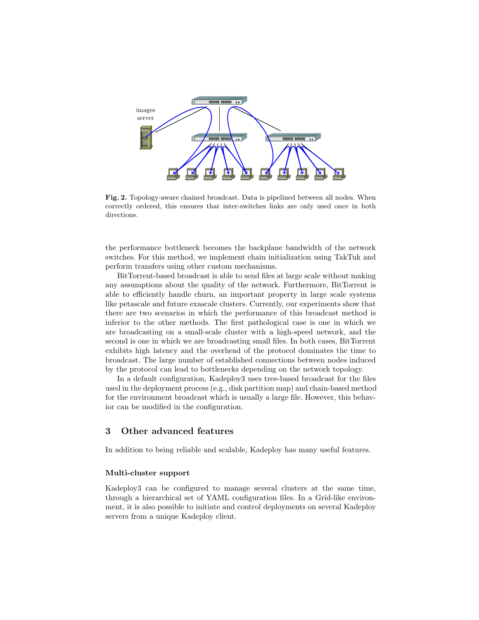

Fig. 2. Topology-aware chained broadcast. Data is pipelined between all nodes. When correctly ordered, this ensures that inter-switches links are only used once in both directions.

the performance bottleneck becomes the backplane bandwidth of the network switches. For this method, we implement chain initialization using TakTuk and perform transfers using other custom mechanisms.

BitTorrent-based broadcast is able to send files at large scale without making any assumptions about the quality of the network. Furthermore, BitTorrent is able to efficiently handle churn, an important property in large scale systems like petascale and future exascale clusters. Currently, our experiments show that there are two scenarios in which the performance of this broadcast method is inferior to the other methods. The first pathological case is one in which we are broadcasting on a small-scale cluster with a high-speed network, and the second is one in which we are broadcasting small files. In both cases, BitTorrent exhibits high latency and the overhead of the protocol dominates the time to broadcast. The large number of established connections between nodes induced by the protocol can lead to bottlenecks depending on the network topology.

In a default configuration, Kadeploy3 uses tree-based broadcast for the files used in the deployment process (e.g., disk partition map) and chain-based method for the environment broadcast which is usually a large file. However, this behavior can be modified in the configuration.

# 3 Other advanced features

In addition to being reliable and scalable, Kadeploy has many useful features.

#### Multi-cluster support

Kadeploy3 can be configured to manage several clusters at the same time, through a hierarchical set of YAML configuration files. In a Grid-like environment, it is also possible to initiate and control deployments on several Kadeploy servers from a unique Kadeploy client.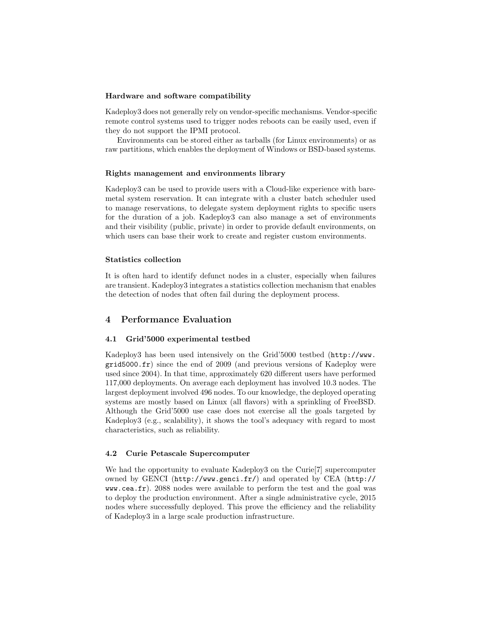#### Hardware and software compatibility

Kadeploy3 does not generally rely on vendor-specific mechanisms. Vendor-specific remote control systems used to trigger nodes reboots can be easily used, even if they do not support the IPMI protocol.

Environments can be stored either as tarballs (for Linux environments) or as raw partitions, which enables the deployment of Windows or BSD-based systems.

#### Rights management and environments library

Kadeploy3 can be used to provide users with a Cloud-like experience with baremetal system reservation. It can integrate with a cluster batch scheduler used to manage reservations, to delegate system deployment rights to specific users for the duration of a job. Kadeploy3 can also manage a set of environments and their visibility (public, private) in order to provide default environments, on which users can base their work to create and register custom environments.

#### Statistics collection

It is often hard to identify defunct nodes in a cluster, especially when failures are transient. Kadeploy3 integrates a statistics collection mechanism that enables the detection of nodes that often fail during the deployment process.

## 4 Performance Evaluation

#### 4.1 Grid'5000 experimental testbed

Kadeploy3 has been used intensively on the Grid'5000 testbed (http://www. grid5000.fr) since the end of 2009 (and previous versions of Kadeploy were used since 2004). In that time, approximately 620 different users have performed 117,000 deployments. On average each deployment has involved 10.3 nodes. The largest deployment involved 496 nodes. To our knowledge, the deployed operating systems are mostly based on Linux (all flavors) with a sprinkling of FreeBSD. Although the Grid'5000 use case does not exercise all the goals targeted by Kadeploy3 (e.g., scalability), it shows the tool's adequacy with regard to most characteristics, such as reliability.

#### 4.2 Curie Petascale Supercomputer

We had the opportunity to evaluate Kadeploy3 on the Curie[7] supercomputer owned by GENCI (http://www.genci.fr/) and operated by CEA (http:// www.cea.fr). 2088 nodes were available to perform the test and the goal was to deploy the production environment. After a single administrative cycle, 2015 nodes where successfully deployed. This prove the efficiency and the reliability of Kadeploy3 in a large scale production infrastructure.